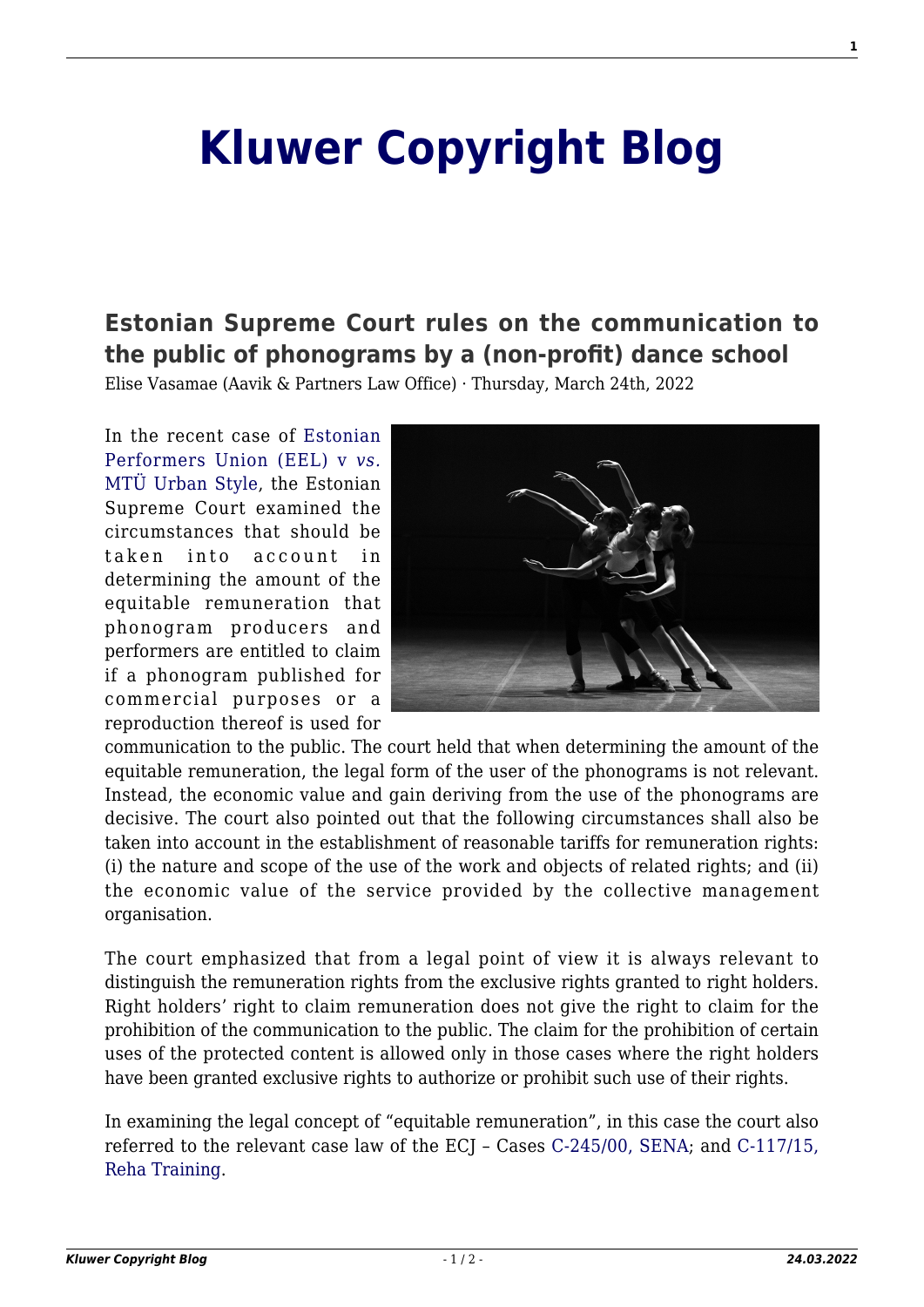## **[Kluwer Copyright Blog](http://copyrightblog.kluweriplaw.com/)**

## **[Estonian Supreme Court rules on the communication to](http://copyrightblog.kluweriplaw.com/2022/03/24/estonian-supreme-court-rules-on-the-communication-to-the-public-of-phonograms-by-a-non-profit-dance-school/) [the public of phonograms by a \(non-profit\) dance school](http://copyrightblog.kluweriplaw.com/2022/03/24/estonian-supreme-court-rules-on-the-communication-to-the-public-of-phonograms-by-a-non-profit-dance-school/)**

Elise Vasamae (Aavik & Partners Law Office) · Thursday, March 24th, 2022

In the recent case of [Estonian](https://www.riigikohus.ee/et/lahendid?asjaNr=2-16-17491/80) [Performers Union \(EEL\) v](https://www.riigikohus.ee/et/lahendid?asjaNr=2-16-17491/80) *[vs.](https://www.riigikohus.ee/et/lahendid?asjaNr=2-16-17491/80)* [MTÜ Urban Style,](https://www.riigikohus.ee/et/lahendid?asjaNr=2-16-17491/80) the Estonian Supreme Court examined the circumstances that should be taken into account in determining the amount of the equitable remuneration that phonogram producers and performers are entitled to claim if a phonogram published for commercial purposes or a reproduction thereof is used for



communication to the public. The court held that when determining the amount of the equitable remuneration, the legal form of the user of the phonograms is not relevant. Instead, the economic value and gain deriving from the use of the phonograms are decisive. The court also pointed out that the following circumstances shall also be taken into account in the establishment of reasonable tariffs for remuneration rights: (i) the nature and scope of the use of the work and objects of related rights; and (ii) the economic value of the service provided by the collective management organisation.

The court emphasized that from a legal point of view it is always relevant to distinguish the remuneration rights from the exclusive rights granted to right holders. Right holders' right to claim remuneration does not give the right to claim for the prohibition of the communication to the public. The claim for the prohibition of certain uses of the protected content is allowed only in those cases where the right holders have been granted exclusive rights to authorize or prohibit such use of their rights.

In examining the legal concept of "equitable remuneration", in this case the court also referred to the relevant case law of the ECJ – Cases [C-245/00, SENA;](https://curia.europa.eu/juris/liste.jsf?num=C-245/00) and [C-117/15,](https://curia.europa.eu/juris/liste.jsf?num=C-117/15) [Reha Training](https://curia.europa.eu/juris/liste.jsf?num=C-117/15).